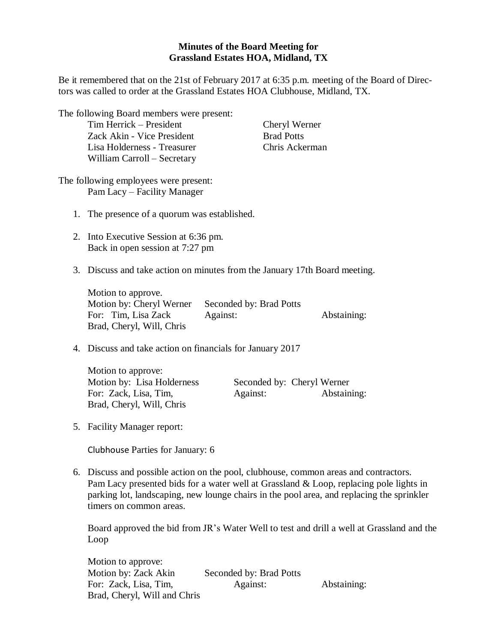## **Minutes of the Board Meeting for Grassland Estates HOA, Midland, TX**

Be it remembered that on the 21st of February 2017 at 6:35 p.m. meeting of the Board of Directors was called to order at the Grassland Estates HOA Clubhouse, Midland, TX.

| The following Board members were present:<br>Tim Herrick - President<br>Zack Akin - Vice President<br>Lisa Holderness - Treasurer<br>William Carroll - Secretary                                                                                                                                       |                                     | Cheryl Werner<br><b>Brad Potts</b><br>Chris Ackerman |             |  |
|--------------------------------------------------------------------------------------------------------------------------------------------------------------------------------------------------------------------------------------------------------------------------------------------------------|-------------------------------------|------------------------------------------------------|-------------|--|
| The following employees were present:<br>Pam Lacy - Facility Manager                                                                                                                                                                                                                                   |                                     |                                                      |             |  |
| 1. The presence of a quorum was established.                                                                                                                                                                                                                                                           |                                     |                                                      |             |  |
| 2. Into Executive Session at 6:36 pm.<br>Back in open session at 7:27 pm                                                                                                                                                                                                                               |                                     |                                                      |             |  |
| 3. Discuss and take action on minutes from the January 17th Board meeting.                                                                                                                                                                                                                             |                                     |                                                      |             |  |
| Motion to approve.<br>Motion by: Cheryl Werner<br>For: Tim, Lisa Zack<br>Brad, Cheryl, Will, Chris                                                                                                                                                                                                     | Seconded by: Brad Potts<br>Against: |                                                      | Abstaining: |  |
| 4. Discuss and take action on financials for January 2017                                                                                                                                                                                                                                              |                                     |                                                      |             |  |
| Motion to approve:<br>Motion by: Lisa Holderness<br>For: Zack, Lisa, Tim,<br>Brad, Cheryl, Will, Chris                                                                                                                                                                                                 | Against:                            | Seconded by: Cheryl Werner                           | Abstaining: |  |
| 5. Facility Manager report:                                                                                                                                                                                                                                                                            |                                     |                                                      |             |  |
| Clubhouse Parties for January: 6                                                                                                                                                                                                                                                                       |                                     |                                                      |             |  |
| 6. Discuss and possible action on the pool, clubhouse, common areas and contractors.<br>Pam Lacy presented bids for a water well at Grassland & Loop, replacing pole lights in<br>parking lot, landscaping, new lounge chairs in the pool area, and replacing the sprinkler<br>timers on common areas. |                                     |                                                      |             |  |

Board approved the bid from JR's Water Well to test and drill a well at Grassland and the Loop

| Motion to approve:           |                         |             |
|------------------------------|-------------------------|-------------|
| Motion by: Zack Akin         | Seconded by: Brad Potts |             |
| For: Zack, Lisa, Tim,        | Against:                | Abstaining: |
| Brad, Cheryl, Will and Chris |                         |             |